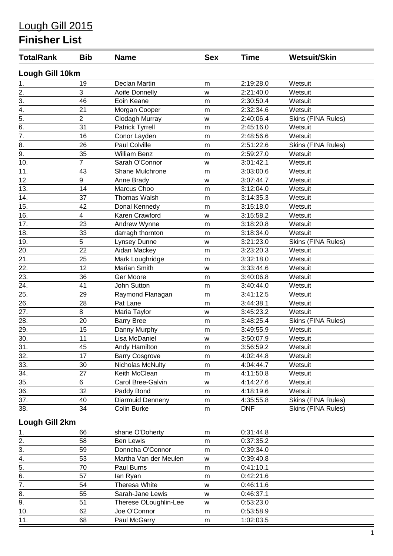# Lough Gill 2015

## **Finisher List**

| <b>TotalRank</b> | <b>Bib</b>     | <b>Name</b>           | <b>Sex</b> | <b>Time</b> | <b>Wetsuit/Skin</b> |  |  |  |  |
|------------------|----------------|-----------------------|------------|-------------|---------------------|--|--|--|--|
| Lough Gill 10km  |                |                       |            |             |                     |  |  |  |  |
| 1.               | 19             | Declan Martin         | m          | 2:19:28.0   | Wetsuit             |  |  |  |  |
| $\overline{2}$ . | 3              | Aoife Donnelly        | W          | 2:21:40.0   | Wetsuit             |  |  |  |  |
| $\frac{1}{3}$    | 46             | Eoin Keane            | m          | 2:30:50.4   | Wetsuit             |  |  |  |  |
| 4.               | 21             | Morgan Cooper         | m          | 2:32:34.6   | Wetsuit             |  |  |  |  |
| $\overline{5}$ . | $\overline{2}$ | Clodagh Murray        | W          | 2:40:06.4   | Skins (FINA Rules)  |  |  |  |  |
| $\overline{6}$ . | 31             | Patrick Tyrrell       | m          | 2:45:16.0   | Wetsuit             |  |  |  |  |
| $\overline{7}$ . | 16             | Conor Layden          | m          | 2:48:56.6   | Wetsuit             |  |  |  |  |
| 8.               | 26             | Paul Colville         | m          | 2:51:22.6   | Skins (FINA Rules)  |  |  |  |  |
| $\overline{9}$ . | 35             | <b>William Benz</b>   | m          | 2:59:27.0   | Wetsuit             |  |  |  |  |
| 10.              | $\overline{7}$ | Sarah O'Connor        | W          | 3:01:42.1   | Wetsuit             |  |  |  |  |
| 11.              | 43             | Shane Mulchrone       | m          | 3:03:00.6   | Wetsuit             |  |  |  |  |
| 12.              | 9              | Anne Brady            | W          | 3:07:44.7   | Wetsuit             |  |  |  |  |
| 13.              | 14             | Marcus Choo           | m          | 3:12:04.0   | Wetsuit             |  |  |  |  |
| 14.              | 37             | <b>Thomas Walsh</b>   | m          | 3:14:35.3   | Wetsuit             |  |  |  |  |
| 15.              | 42             | Donal Kennedy         | m          | 3:15:18.0   | Wetsuit             |  |  |  |  |
| 16.              | 4              | Karen Crawford        | W          | 3:15:58.2   | Wetsuit             |  |  |  |  |
| 17.              | 23             | Andrew Wynne          | m          | 3:18:20.8   | Wetsuit             |  |  |  |  |
| 18.              | 33             | darragh thornton      | m          | 3:18:34.0   | Wetsuit             |  |  |  |  |
| 19.              | 5              | <b>Lynsey Dunne</b>   | W          | 3:21:23.0   | Skins (FINA Rules)  |  |  |  |  |
| 20.              | 22             | Aidan Mackey          | m          | 3:23:20.3   | Wetsuit             |  |  |  |  |
| 21.              | 25             | Mark Loughridge       | m          | 3:32:18.0   | Wetsuit             |  |  |  |  |
| 22.              | 12             | <b>Marian Smith</b>   | W          | 3:33:44.6   | Wetsuit             |  |  |  |  |
| 23.              | 36             | Ger Moore             | m          | 3:40:06.8   | Wetsuit             |  |  |  |  |
| 24.              | 41             | John Sutton           | m          | 3:40:44.0   | Wetsuit             |  |  |  |  |
| 25.              | 29             | Raymond Flanagan      | m          | 3:41:12.5   | Wetsuit             |  |  |  |  |
| 26.              | 28             | Pat Lane              | m          | 3:44:38.1   | Wetsuit             |  |  |  |  |
| 27.              | 8              | Maria Taylor          | W          | 3:45:23.2   | Wetsuit             |  |  |  |  |
| 28.              | 20             | <b>Barry Bree</b>     | m          | 3:48:25.4   | Skins (FINA Rules)  |  |  |  |  |
| 29.              | 15             | Danny Murphy          | m          | 3:49:55.9   | Wetsuit             |  |  |  |  |
| 30.              | 11             | Lisa McDaniel         | W          | 3:50:07.9   | Wetsuit             |  |  |  |  |
| 31.              | 45             | Andy Hamilton         | m          | 3:56:59.2   | Wetsuit             |  |  |  |  |
| 32.              | 17             | <b>Barry Cosgrove</b> | m          | 4:02:44.8   | Wetsuit             |  |  |  |  |
| 33.              | 30             | Nicholas McNulty      | m          | 4:04:44.7   | Wetsuit             |  |  |  |  |
| $\frac{34.}{5}$  | 27             | Keith McClean         | m          | 4:11:50.8   | Wetsuit             |  |  |  |  |
| 35.              | 6              | Carol Bree-Galvin     | W          | 4:14:27.6   | Wetsuit             |  |  |  |  |
| 36.              | 32             | Paddy Bond            | m          | 4:18:19.6   | Wetsuit             |  |  |  |  |
| 37.              | 40             | Diarmuid Denneny      | m          | 4:35:55.8   | Skins (FINA Rules)  |  |  |  |  |
| 38.              | 34             | Colin Burke           | m          | <b>DNF</b>  | Skins (FINA Rules)  |  |  |  |  |
| Lough Gill 2km   |                |                       |            |             |                     |  |  |  |  |
| 1.               | 66             | shane O'Doherty       | m          | 0:31:44.8   |                     |  |  |  |  |
| 2.               | 58             | <b>Ben Lewis</b>      | m          | 0:37:35.2   |                     |  |  |  |  |
| 3.               | 59             | Donncha O'Connor      | m          | 0:39:34.0   |                     |  |  |  |  |
| 4.               | 53             | Martha Van der Meulen | W          | 0:39:40.8   |                     |  |  |  |  |
| 5.               | 70             | Paul Burns            | m          | 0:41:10.1   |                     |  |  |  |  |
| 6.               | 57             | lan Ryan              | m          | 0:42:21.6   |                     |  |  |  |  |
| $\overline{7}$ . | 54             | Theresa White         | W          | 0:46:11.6   |                     |  |  |  |  |
| 8.               | 55             | Sarah-Jane Lewis      | w          | 0:46:37.1   |                     |  |  |  |  |
| 9.               | 51             | Therese OLoughlin-Lee | W          | 0:53:23.0   |                     |  |  |  |  |
| 10.              | 62             | Joe O'Connor          | m          | 0:53:58.9   |                     |  |  |  |  |
| 11.              | 68             | Paul McGarry          | m          | 1:02:03.5   |                     |  |  |  |  |
|                  |                |                       |            |             |                     |  |  |  |  |